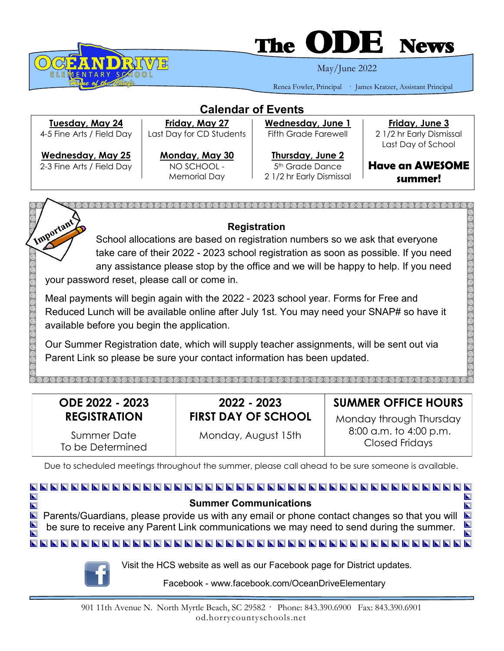

# **The**

May/June 2022

Renea Fowler, Principal · James Kratzer, Assistant Principal

| <b>Calendar of Events</b>                             |                                                      |                                                                             |                                                |  |
|-------------------------------------------------------|------------------------------------------------------|-----------------------------------------------------------------------------|------------------------------------------------|--|
| Tuesday, May 24                                       | Friday, May 27                                       | Wednesday, June 1                                                           | Friday, June 3                                 |  |
| 4-5 Fine Arts / Field Day                             | Last Day for CD Students                             | <b>Fifth Grade Farewell</b>                                                 | 2 1/2 hr Early Dismissal<br>Last Day of School |  |
| <b>Wednesday, May 25</b><br>2-3 Fine Arts / Field Day | Monday, May 30<br>NO SCHOOL -<br><b>Memorial Day</b> | Thursday, June 2<br>5 <sup>th</sup> Grade Dance<br>2 1/2 hr Early Dismissal | <b>Have an AWESOME</b><br>summer!              |  |



# **Registration**

School allocations are based on registration numbers so we ask that everyone take care of their 2022 - 2023 school registration as soon as possible. If you need any assistance please stop by the office and we will be happy to help. If you need your password reset, please call or come in.

Meal payments will begin again with the 2022 - 2023 school year. Forms for Free and Reduced Lunch will be available online after July 1st. You may need your SNAP# so have it available before you begin the application.

Our Summer Registration date, which will supply teacher assignments, will be sent out via Parent Link so please be sure your contact information has been updated.

| ODE 2022 - 2023                 | 2022 - 2023                | <b>SUMMER OFFICE HOURS</b>               |
|---------------------------------|----------------------------|------------------------------------------|
| <b>REGISTRATION</b>             | <b>FIRST DAY OF SCHOOL</b> | Monday through Thursday                  |
| Summer Date<br>To be Determined | Monday, August 15th        | 8:00 a.m. to 4:00 p.m.<br>Closed Fridays |

Due to scheduled meetings throughout the summer, please call ahead to be sure someone is available.

#### $\overline{\blacksquare}$  $\blacksquare$ **Summer Communications**  $\overline{\mathbf{N}}$  $\overline{\mathbf{N}}$ **Parents/Guardians, please provide us with any email or phone contact changes so that you will P**  $\blacksquare$ be sure to receive any Parent Link communications we may need to send during the summer. Visit the HCS website as well as our Facebook page for District updates. Facebook - www.facebook.com/OceanDriveElementary

901 11th Avenue N. North Myrtle Beach, SC 29582 · Phone: 843.390.6900 Fax: 843.390.6901 od.horrycountyschools.net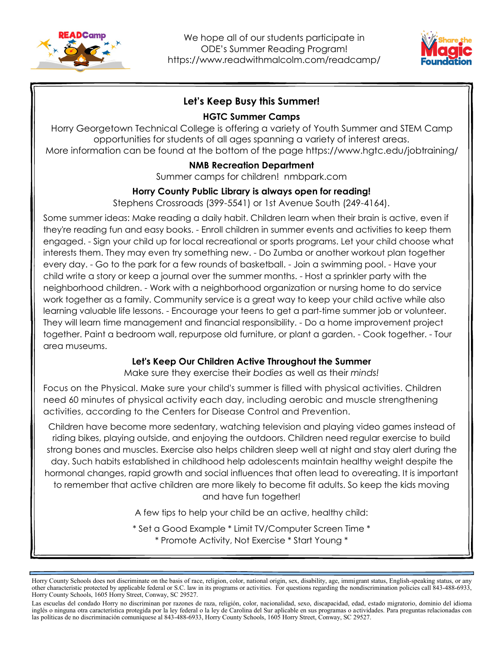



# **Let's Keep Busy this Summer!**

### **HGTC Summer Camps**

Horry Georgetown Technical College is offering a variety of Youth Summer and STEM Camp opportunities for students of all ages spanning a variety of interest areas. More information can be found at the bottom of the page https://www.hgtc.edu/jobtraining/

# **NMB Recreation Department**

Summer camps for children! nmbpark.com

### **Horry County Public Library is always open for reading!**

Stephens Crossroads (399-5541) or 1st Avenue South (249-4164).

Some summer ideas: Make reading a daily habit. Children learn when their brain is active, even if they're reading fun and easy books. - Enroll children in summer events and activities to keep them engaged. - Sign your child up for local recreational or sports programs. Let your child choose what interests them. They may even try something new. - Do Zumba or another workout plan together every day. - Go to the park for a few rounds of basketball. - Join a swimming pool. - Have your child write a story or keep a journal over the summer months. - Host a sprinkler party with the neighborhood children. - Work with a neighborhood organization or nursing home to do service work together as a family. Community service is a great way to keep your child active while also learning valuable life lessons. - Encourage your teens to get a part-time summer job or volunteer. They will learn time management and financial responsibility. - Do a home improvement project together. Paint a bedroom wall, repurpose old furniture, or plant a garden. - Cook together. - Tour area museums.

# **Let's Keep Our Children Active Throughout the Summer**

Make sure they exercise their *bodies* as well as their *minds!*

Focus on the Physical. Make sure your child's summer is filled with physical activities. Children need 60 minutes of physical activity each day, including aerobic and muscle strengthening activities, according to the Centers for Disease Control and Prevention.

Children have become more sedentary, watching television and playing video games instead of riding bikes, playing outside, and enjoying the outdoors. Children need regular exercise to build strong bones and muscles. Exercise also helps children sleep well at night and stay alert during the day. Such habits established in childhood help adolescents maintain healthy weight despite the hormonal changes, rapid growth and social influences that often lead to overeating. It is important to remember that active children are more likely to become fit adults. So keep the kids moving and have fun together!

A few tips to help your child be an active, healthy child:

\* Set a Good Example \* Limit TV/Computer Screen Time \* \* Promote Activity, Not Exercise \* Start Young \*

Horry County Schools does not discriminate on the basis of race, religion, color, national origin, sex, disability, age, immigrant status, English-speaking status, or any other characteristic protected by applicable federal or S.C. law in its programs or activities. For questions regarding the nondiscrimination policies call 843-488-6933, Horry County Schools, 1605 Horry Street, Conway, SC 29527.

Las escuelas del condado Horry no discriminan por razones de raza, religión, color, nacionalidad, sexo, discapacidad, edad, estado migratorio, dominio del idioma inglés o ninguna otra característica protegida por la ley federal o la ley de Carolina del Sur aplicable en sus programas o actividades. Para preguntas relacionadas con las políticas de no discriminación comuníquese al 843-488-6933, Horry County Schools, 1605 Horry Street, Conway, SC 29527.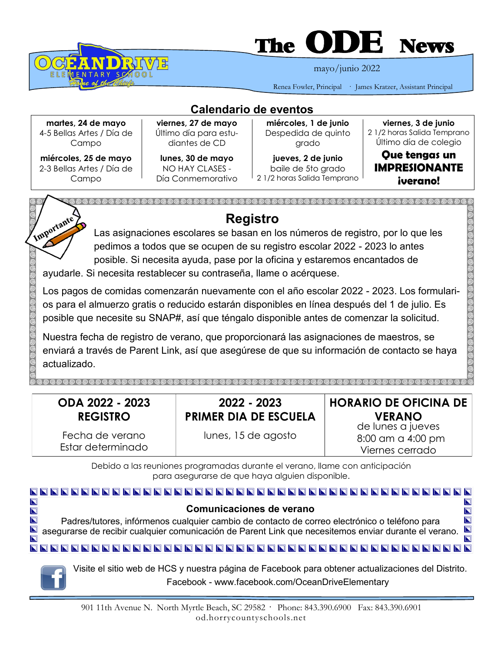

# The **ULLE** News

mayo/junio 2022

Renea Fowler, Principal · James Kratzer, Assistant Principal

**Calendario de eventos**

**martes, 24 de mayo** 4-5 Bellas Artes / Día de Campo

**miércoles, 25 de mayo** 2-3 Bellas Artes / Día de Campo

**viernes, 27 de mayo** Último día para estudiantes de CD

**lunes, 30 de mayo** NO HAY CLASES - Día Conmemorativo

**miércoles, 1 de junio** Despedida de quinto grado

**jueves, 2 de junio** baile de 5to grado 2 1/2 horas Salida Temprano

**viernes, 3 de junio** 2 1/2 horas Salida Temprano Último día de colegio

**Que tengas un IMPRESIONANTE ¡verano!**



enviará a través de Parent Link, así que asegúrese de que su información de contacto se haya actualizado.

| ODA 2022 - 2023<br><b>REGISTRO</b>   | 2022 - 2023<br><b>PRIMER DIA DE ESCUELA</b> | <b>HORARIO DE OFICINA DE</b><br><b>VERANO</b><br>de lunes a jueves |
|--------------------------------------|---------------------------------------------|--------------------------------------------------------------------|
| Fecha de verano<br>Estar determinado | lunes, 15 de agosto                         | 8:00 am a 4:00 pm<br>Viernes cerrado                               |

Debido a las reuniones programadas durante el verano, llame con anticipación para asegurarse de que haya alguien disponible.